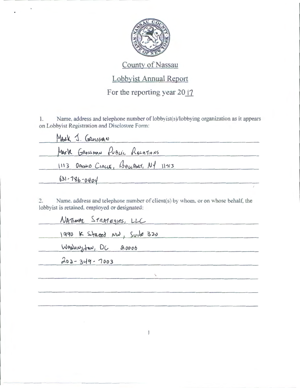

# County of Nassau

# Lobbyist Annual Report

For the reporting year 2017

1. Name, address and telephone number of lobbyist(s)/lobbying organization as it appears on Lobbyist Registration and Disclosure Form:

| MARK J. GROSSMAN                           |  |
|--------------------------------------------|--|
| MArk GROSSMAN PUBLIC RECATIONS             |  |
| $1113$ ORCHIO CIRCLE, BOWPORT, $N_1$ 11713 |  |
| $631 - 786 - 0404$                         |  |

2. Name. address and telephone number of client(s) by whom. or on whose behalf, the lobbyist is retained, employed or designated:

| NATIONAL STRATEGIES, LLC    |  |
|-----------------------------|--|
| 1990 K Staced NW, Suite 320 |  |
| WASHINGton, DC 20006        |  |
| 202-349-7003                |  |
|                             |  |
|                             |  |

 $\mathbf{I}$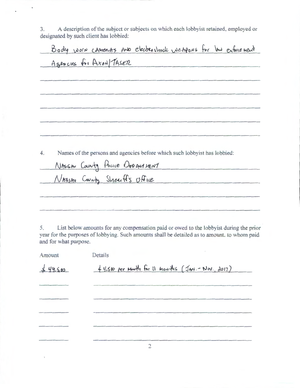3. A description of the subject or subjects on which each lobbyist retained, employed or designated by such client has lobbied:

|                                |  |  |                                                                            |  | Body worn caments and electershock wetgons for law enforcement |
|--------------------------------|--|--|----------------------------------------------------------------------------|--|----------------------------------------------------------------|
| Agencies for Axon/TASER        |  |  |                                                                            |  |                                                                |
|                                |  |  |                                                                            |  |                                                                |
|                                |  |  |                                                                            |  |                                                                |
|                                |  |  |                                                                            |  |                                                                |
|                                |  |  |                                                                            |  |                                                                |
|                                |  |  |                                                                            |  |                                                                |
|                                |  |  |                                                                            |  |                                                                |
|                                |  |  |                                                                            |  |                                                                |
|                                |  |  | Names of the persons and agencies before which such lobby ist has lobbied: |  |                                                                |
| NASSAU County Pouce DEPANNENT  |  |  |                                                                            |  |                                                                |
| NASSAN County Sheet fis Office |  |  |                                                                            |  |                                                                |
|                                |  |  |                                                                            |  |                                                                |
|                                |  |  |                                                                            |  |                                                                |
|                                |  |  |                                                                            |  |                                                                |

5. List below amounts for any compensation paid or owed to the lobbyist during the prior year for the purposes of lobbying. Such amounts shall be detailed as to amount. to whom paid and for what purpose.

| Amount | Details                                              |
|--------|------------------------------------------------------|
| 49.500 | $44.500$ per Month for 11 Months (JAN .- Nov., 2017) |
|        |                                                      |
|        |                                                      |
|        |                                                      |
|        |                                                      |
|        | $\bigcirc$                                           |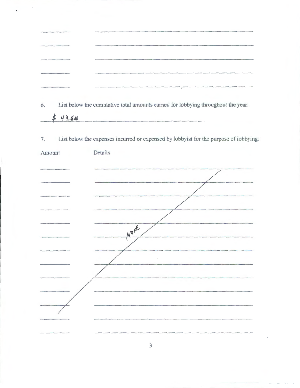|                                                                                                                          | the complete state of the complete complete the complete state of the complete state of the complete state of the complete state of the complete state of the complete state of the complete state of the complete state of th<br>dealership and the highlight and conditions are                                                              |
|--------------------------------------------------------------------------------------------------------------------------|------------------------------------------------------------------------------------------------------------------------------------------------------------------------------------------------------------------------------------------------------------------------------------------------------------------------------------------------|
| and provided a simple product to a provided a simple of the product of the                                               | in the basic decays and in this is the following department of the end of the continuum of the end of the following and the company of the continuum of the company of the company of the company<br>In the Separate control of the Contemporary and Colorador Associates                                                                      |
| and the experiment and and the contract of the contract of the contract of the contract of                               | Address a considerable consequently in the set of the set of the probability and address a constitution of the phase of the phase of the phase of the phase of the set of the set of the set of the set of the set of the set                                                                                                                  |
| Participated in the secondary distribution of the company of the construction of the construction of the construction of | completing players of and the conservation of the completion of the completion of the completion of the conservation of the conservation of the conservation of the conservation of the conservation of the conservation of th<br>and the control of the control of the control of the control of the control of the control of the control of |
| The former than the constraint in the constraint and constraint and constraint and                                       | alanda tutu qabab urtamahan yakana kebuah kapatan tutu ce manarang<br>and the company's company's company's company's property of the company's property of<br>$\overline{1}$                                                                                                                                                                  |
|                                                                                                                          |                                                                                                                                                                                                                                                                                                                                                |

6. List below the cumulative total amounts earned for lobbying throughout the year:

 $49.500$ 

7. List below the expenses incurred or expensed by lobbyist for the purpose of lobbying:

| Amount | Details        |
|--------|----------------|
|        |                |
|        |                |
|        |                |
|        |                |
|        |                |
|        | No Ne          |
|        |                |
|        | $\mathfrak{f}$ |
|        |                |
|        |                |
|        |                |
|        |                |
|        |                |

 $\overline{3}$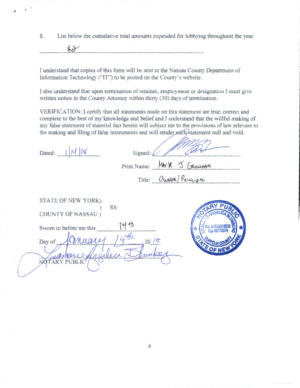8. List below the cumulative total amounts expended for lobbying throughout the year:

 $\star$ 

I understand that copies of this form will be sent to the Nassau County Department of Information Technology ("IT") to be posted on the County's website.

J also understand that upon termination of retainer, employment or designation I must give written notice to the County Attorney within thirty (30) days of termination.

VERIFICATION: I certify that all statements made on this statement are true, correct and complete to the best of my knowledge and belief and T understand that the willful making of any false statement of material fact herein will subject me to the provisions of law relevant to the making and filing of false instruments and will render such statement null and void.

Marson

| Dated:                                                                                                             | Signed: $\ell$               |                        |  |
|--------------------------------------------------------------------------------------------------------------------|------------------------------|------------------------|--|
|                                                                                                                    | Print Name: MArK J. GROSSMAN |                        |  |
|                                                                                                                    |                              | Title: OWNER/PRINCIPAL |  |
| STATE OF NEW YORK)<br>SS:<br><b>COUNTY OF NASSAU</b> )<br>Sworn to before me this<br>Inuares<br>Day of<br>Y PUBLIC | 20/8                         |                        |  |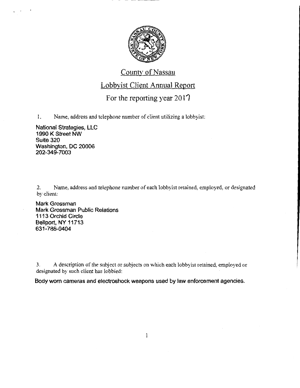

## County of Nassau

#### Lobbyist Client Annual Report

### For the reporting year  $2017$

1. Name, address and telephone number of client utilizing a lobbyist:

National Strategies, LLC 1990 K Street NW Suite 320 Washington, DC 20006 202-349-7003

2. Name, address and telephone number of each lobbyist retained, employed, or designated by client:

Mark Grossman Mark Grossman Public Relations 1113 Orchid Circle Bellport, NY 11713 631-786-0404

3. A description of the subject or subjects on which each lobbyist retained, employed or designated by such client has lobbied:

Body worn cameras and electroshock weapons used by law enforcement agencies.

 $\mathbf{1}$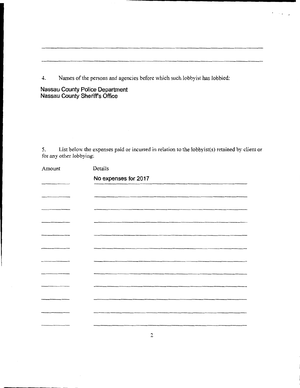4. Names of the persons and agencies before \vhich such lobbyist has lobbied:

**Nassau County Police Department Nassau County Sheriffs Office** 

5. List below the expenses paid or incurred in relation to the lobbyist(s) retained by client or for any other lobbying:

 $\sim$  4  $^\circ$  $\mathbb{Z}$ 

| Amount | Details              |
|--------|----------------------|
|        | No expenses for 2017 |
|        |                      |
|        |                      |
|        |                      |
|        |                      |
|        |                      |
|        |                      |
|        |                      |
|        |                      |
|        |                      |
|        |                      |
|        |                      |
|        |                      |